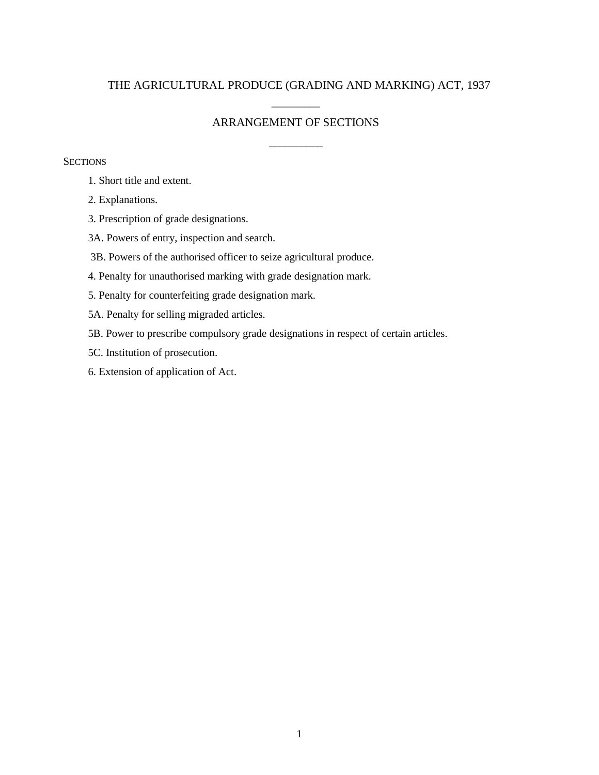### THE AGRICULTURAL PRODUCE (GRADING AND MARKING) ACT, 1937

# \_\_\_\_\_\_\_\_\_ ARRANGEMENT OF SECTIONS

\_\_\_\_\_\_\_\_\_\_

#### **SECTIONS**

- 1. Short title and extent.
- 2. Explanations.
- 3. Prescription of grade designations.
- 3A. Powers of entry, inspection and search.
- 3B. Powers of the authorised officer to seize agricultural produce.
- 4. Penalty for unauthorised marking with grade designation mark.
- 5. Penalty for counterfeiting grade designation mark.
- 5A. Penalty for selling migraded articles.
- 5B. Power to prescribe compulsory grade designations in respect of certain articles.
- 5C. Institution of prosecution.
- 6. Extension of application of Act.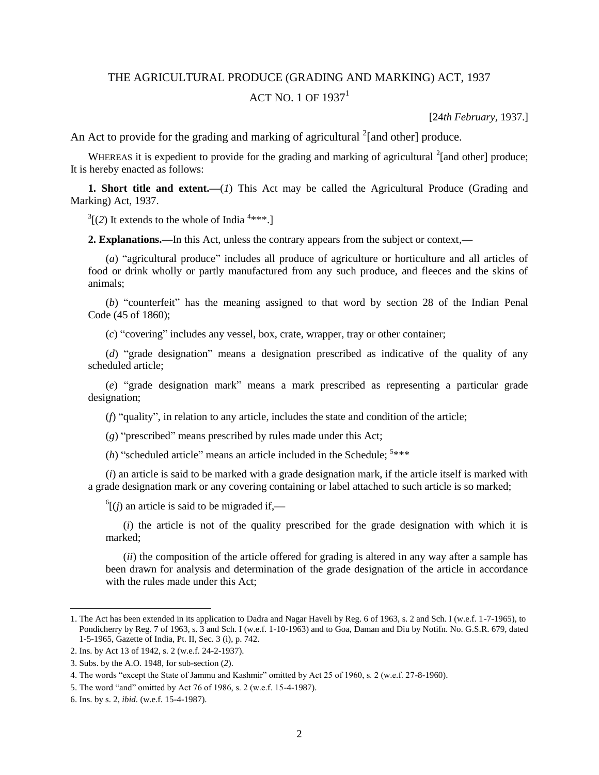# THE AGRICULTURAL PRODUCE (GRADING AND MARKING) ACT, 1937 ACT NO. 1 OF  $1937<sup>1</sup>$

[24*th February,* 1937.]

An Act to provide for the grading and marking of agricultural  $2$ [and other] produce.

WHEREAS it is expedient to provide for the grading and marking of agricultural  $2$ [and other] produce; It is hereby enacted as follows:

**1. Short title and extent.—**(*1*) This Act may be called the Agricultural Produce (Grading and Marking) Act, 1937.

 $3$ [(2) It extends to the whole of India<sup>4\*\*\*</sup>.]

**2. Explanations.—**In this Act, unless the contrary appears from the subject or context,**—**

(*a*) "agricultural produce" includes all produce of agriculture or horticulture and all articles of food or drink wholly or partly manufactured from any such produce, and fleeces and the skins of animals;

(*b*) "counterfeit" has the meaning assigned to that word by section 28 of the Indian Penal Code (45 of 1860);

(*c*) "covering" includes any vessel, box, crate, wrapper, tray or other container;

(*d*) "grade designation" means a designation prescribed as indicative of the quality of any scheduled article;

(*e*) "grade designation mark" means a mark prescribed as representing a particular grade designation;

(*f*) "quality", in relation to any article, includes the state and condition of the article;

(*g*) "prescribed" means prescribed by rules made under this Act;

 $(h)$  "scheduled article" means an article included in the Schedule;  $5***$ 

(*i*) an article is said to be marked with a grade designation mark, if the article itself is marked with a grade designation mark or any covering containing or label attached to such article is so marked;

6 [(*j*) an article is said to be migraded if,**—**

(*i*) the article is not of the quality prescribed for the grade designation with which it is marked;

(*ii*) the composition of the article offered for grading is altered in any way after a sample has been drawn for analysis and determination of the grade designation of the article in accordance with the rules made under this Act;

<sup>1.</sup> The Act has been extended in its application to Dadra and Nagar Haveli by Reg. 6 of 1963, s. 2 and Sch. I (w.e.f. 1-7-1965), to Pondicherry by Reg. 7 of 1963, s. 3 and Sch. I (w.e.f. 1-10-1963) and to Goa, Daman and Diu by Notifn. No. G.S.R. 679, dated 1-5-1965, Gazette of India, Pt. II, Sec. 3 (i), p. 742.

<sup>2.</sup> Ins. by Act 13 of 1942, s. 2 (w.e.f. 24-2-1937).

<sup>3.</sup> Subs. by the A.O. 1948, for sub-section (*2*).

<sup>4.</sup> The words "except the State of Jammu and Kashmir" omitted by Act 25 of 1960, s. 2 (w.e.f. 27-8-1960).

<sup>5.</sup> The word "and" omitted by Act 76 of 1986, s. 2 (w.e.f. 15-4-1987).

<sup>6.</sup> Ins. by s. 2, *ibid*. (w.e.f. 15-4-1987).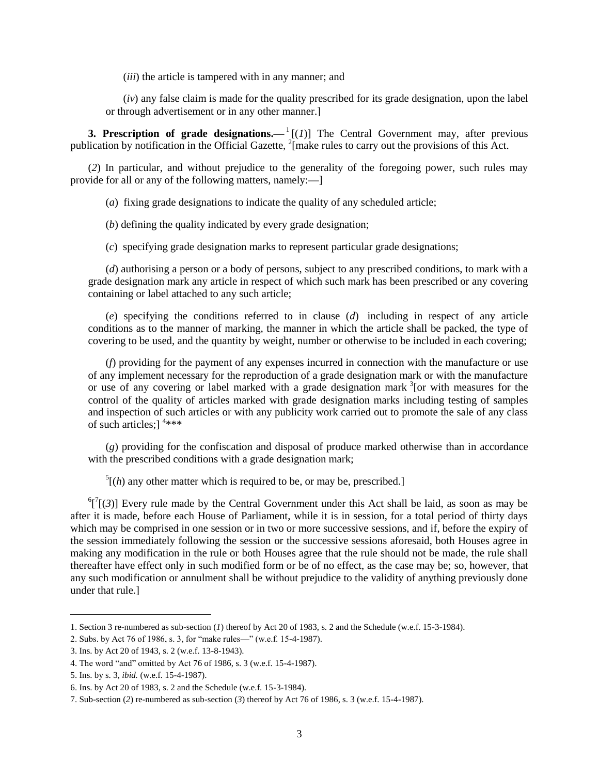(*iii*) the article is tampered with in any manner; and

(*iv*) any false claim is made for the quality prescribed for its grade designation, upon the label or through advertisement or in any other manner.]

**3. Prescription of grade designations.**  $-1$  **[(***1***)] The Central Government may, after previous** publication by notification in the Official Gazette,  $^{2}$ [make rules to carry out the provisions of this Act.

(*2*) In particular, and without prejudice to the generality of the foregoing power, such rules may provide for all or any of the following matters, namely:**—**]

(*a*) fixing grade designations to indicate the quality of any scheduled article;

(*b*) defining the quality indicated by every grade designation;

(*c*) specifying grade designation marks to represent particular grade designations;

(*d*) authorising a person or a body of persons, subject to any prescribed conditions, to mark with a grade designation mark any article in respect of which such mark has been prescribed or any covering containing or label attached to any such article;

(*e*) specifying the conditions referred to in clause (*d*) including in respect of any article conditions as to the manner of marking, the manner in which the article shall be packed, the type of covering to be used, and the quantity by weight, number or otherwise to be included in each covering;

(*f*) providing for the payment of any expenses incurred in connection with the manufacture or use of any implement necessary for the reproduction of a grade designation mark or with the manufacture or use of any covering or label marked with a grade designation mark  $3$  [or with measures for the control of the quality of articles marked with grade designation marks including testing of samples and inspection of such articles or with any publicity work carried out to promote the sale of any class of such articles;]<sup>4\*\*\*</sup>

(*g*) providing for the confiscation and disposal of produce marked otherwise than in accordance with the prescribed conditions with a grade designation mark;

 $<sup>5</sup>[(h)$  any other matter which is required to be, or may be, prescribed.]</sup>

 ${}^{6}$ [ ${}^{7}$ [(3)] Every rule made by the Central Government under this Act shall be laid, as soon as may be after it is made, before each House of Parliament, while it is in session, for a total period of thirty days which may be comprised in one session or in two or more successive sessions, and if, before the expiry of the session immediately following the session or the successive sessions aforesaid, both Houses agree in making any modification in the rule or both Houses agree that the rule should not be made, the rule shall thereafter have effect only in such modified form or be of no effect, as the case may be; so, however, that any such modification or annulment shall be without prejudice to the validity of anything previously done under that rule.]

<sup>1.</sup> Section 3 re-numbered as sub-section (*1*) thereof by Act 20 of 1983, s. 2 and the Schedule (w.e.f. 15-3-1984).

<sup>2.</sup> Subs. by Act 76 of 1986, s. 3, for "make rules—" (w.e.f. 15-4-1987).

<sup>3.</sup> Ins. by Act 20 of 1943, s. 2 (w.e.f. 13-8-1943).

<sup>4.</sup> The word "and" omitted by Act 76 of 1986, s. 3 (w.e.f. 15-4-1987).

<sup>5.</sup> Ins. by s. 3, *ibid.* (w.e.f. 15-4-1987).

<sup>6.</sup> Ins. by Act 20 of 1983, s. 2 and the Schedule (w.e.f. 15-3-1984).

<sup>7.</sup> Sub-section (*2*) re-numbered as sub-section (*3*) thereof by Act 76 of 1986, s. 3 (w.e.f. 15-4-1987).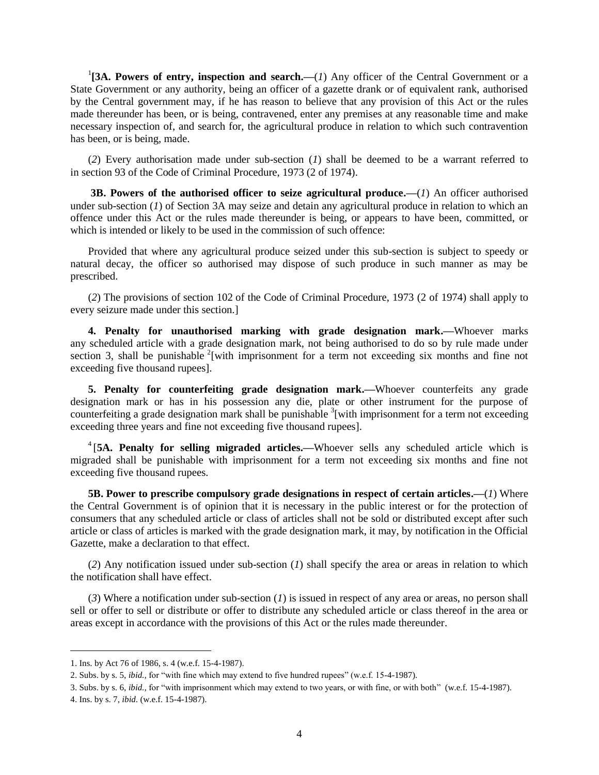<sup>1</sup>[3A. Powers of entry, inspection and search.—(*1*) Any officer of the Central Government or a State Government or any authority, being an officer of a gazette drank or of equivalent rank, authorised by the Central government may, if he has reason to believe that any provision of this Act or the rules made thereunder has been, or is being, contravened, enter any premises at any reasonable time and make necessary inspection of, and search for, the agricultural produce in relation to which such contravention has been, or is being, made.

(*2*) Every authorisation made under sub-section (*1*) shall be deemed to be a warrant referred to in [section 93](javascript:fnOpenLinkPopUp() of the Code of Criminal Procedure, 1973 (2 of 1974).

**3B. Powers of the authorised officer to seize agricultural produce.—**(*1*) An officer authorised under sub-section (*1*) of Section 3A may seize and detain any agricultural produce in relation to which an offence under this Act or the rules made thereunder is being, or appears to have been, committed, or which is intended or likely to be used in the commission of such offence:

Provided that where any agricultural produce seized under this sub-section is subject to speedy or natural decay, the officer so authorised may dispose of such produce in such manner as may be prescribed.

(*2*) The provisions of [section 102](javascript:fnOpenLinkPopUp() of the Code of Criminal Procedure, 1973 (2 of 1974) shall apply to every seizure made under this section.]

**4. Penalty for unauthorised marking with grade designation mark.—**Whoever marks any scheduled article with a grade designation mark, not being authorised to do so by rule made under section 3, shall be punishable  $2$ [with imprisonment for a term not exceeding six months and fine not exceeding five thousand rupees].

**5. Penalty for counterfeiting grade designation mark.—**Whoever counterfeits any grade designation mark or has in his possession any die, plate or other instrument for the purpose of counterfeiting a grade designation mark shall be punishable <sup>3</sup>[with imprisonment for a term not exceeding exceeding three years and fine not exceeding five thousand rupees].

4 [**5A. Penalty for selling migraded articles.—**Whoever sells any scheduled article which is migraded shall be punishable with imprisonment for a term not exceeding six months and fine not exceeding five thousand rupees.

**5B. Power to prescribe compulsory grade designations in respect of certain articles.—**(*1*) Where the Central Government is of opinion that it is necessary in the public interest or for the protection of consumers that any scheduled article or class of articles shall not be sold or distributed except after such article or class of articles is marked with the grade designation mark, it may, by notification in the Official Gazette, make a declaration to that effect.

(*2*) Any notification issued under sub-section (*1*) shall specify the area or areas in relation to which the notification shall have effect.

(*3*) Where a notification under sub-section (*1*) is issued in respect of any area or areas, no person shall sell or offer to sell or distribute or offer to distribute any scheduled article or class thereof in the area or areas except in accordance with the provisions of this Act or the rules made thereunder.

<sup>1.</sup> Ins. by Act 76 of 1986, s. 4 (w.e.f. 15-4-1987).

<sup>2.</sup> Subs. by s. 5, *ibid.,* for "with fine which may extend to five hundred rupees" (w.e.f. 15-4-1987).

<sup>3.</sup> Subs. by s. 6, *ibid.,* for "with imprisonment which may extend to two years, or with fine, or with both" (w.e.f. 15-4-1987). 4. Ins. by s. 7, *ibid*. (w.e.f. 15-4-1987).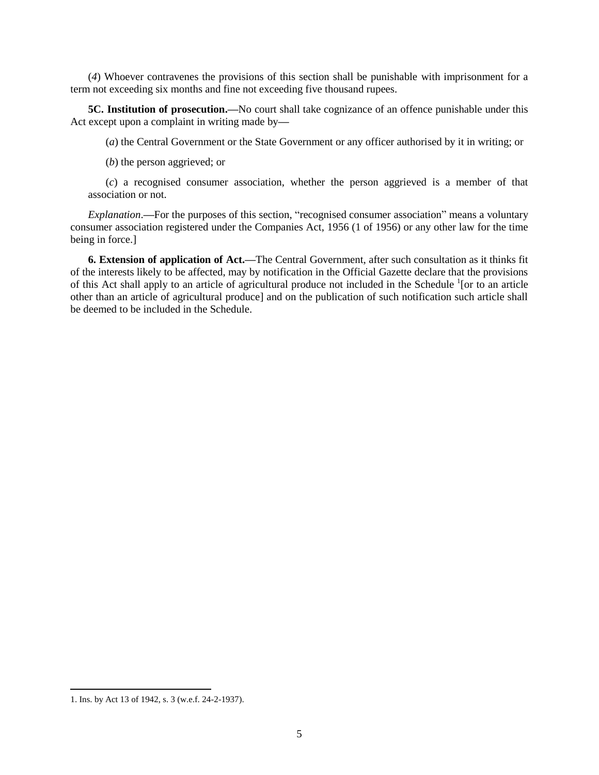(*4*) Whoever contravenes the provisions of this section shall be punishable with imprisonment for a term not exceeding six months and fine not exceeding five thousand rupees.

**5C. Institution of prosecution.—**No court shall take cognizance of an offence punishable under this Act except upon a complaint in writing made by**—**

(*a*) the Central Government or the State Government or any officer authorised by it in writing; or

(*b*) the person aggrieved; or

(*c*) a recognised consumer association, whether the person aggrieved is a member of that association or not.

*Explanation*.**—**For the purposes of this section, "recognised consumer association" means a voluntary consumer association registered under the Companies Act, 1956 (1 of 1956) or any other law for the time being in force.]

**6. Extension of application of Act.—**The Central Government, after such consultation as it thinks fit of the interests likely to be affected, may by notification in the Official Gazette declare that the provisions of this Act shall apply to an article of agricultural produce not included in the Schedule <sup>1</sup>[or to an article other than an article of agricultural produce] and on the publication of such notification such article shall be deemed to be included in the Schedule.

<sup>1.</sup> Ins. by Act 13 of 1942, s. 3 (w.e.f. 24-2-1937).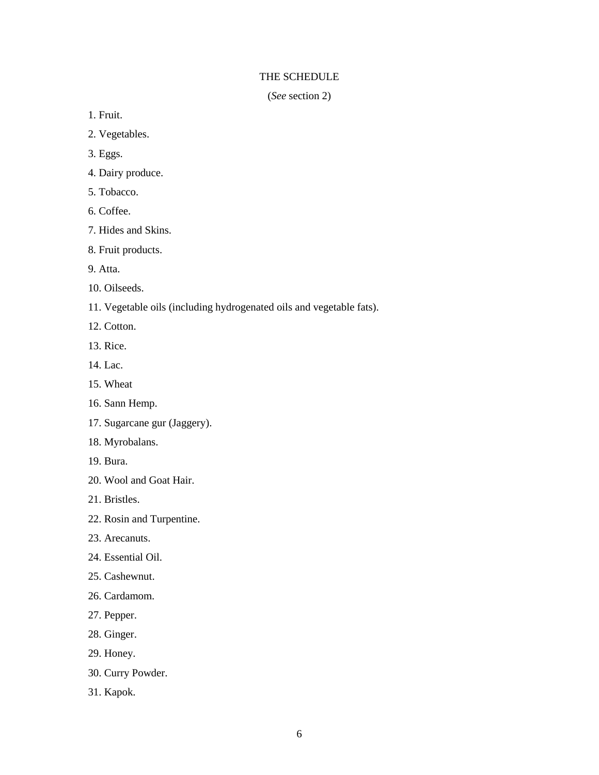### THE SCHEDULE

(*See* section 2)

1. Fruit.

- 2. Vegetables.
- 3. Eggs.
- 4. Dairy produce.
- 5. Tobacco.
- 6. Coffee.
- 7. Hides and Skins.
- 8. Fruit products.
- 9. Atta.
- 10. Oilseeds.
- 11. Vegetable oils (including hydrogenated oils and vegetable fats).
- 12. Cotton.
- 13. Rice.
- 14. Lac.
- 15. Wheat
- 16. Sann Hemp.
- 17. Sugarcane gur (Jaggery).
- 18. Myrobalans.
- 19. Bura.
- 20. Wool and Goat Hair.
- 21. Bristles.
- 22. Rosin and Turpentine.
- 23. Arecanuts.
- 24. Essential Oil.
- 25. Cashewnut.
- 26. Cardamom.
- 27. Pepper.
- 28. Ginger.
- 29. Honey.
- 30. Curry Powder.
- 31. Kapok.